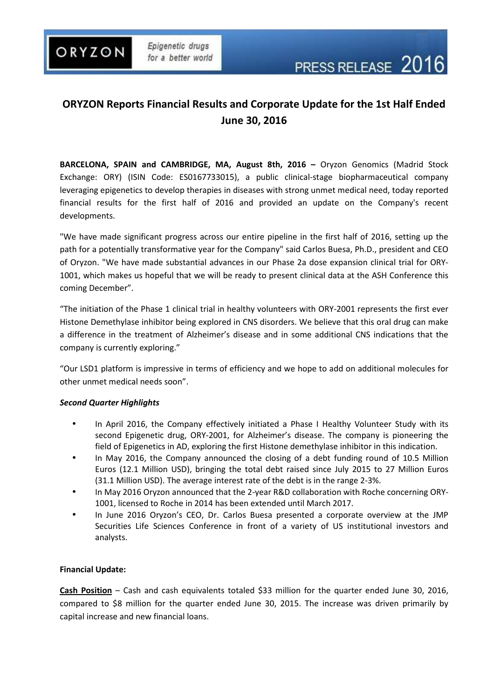ORYZON

# **ORYZON Reports Financial Results and Corporate Update for the 1st Half Ended June 30, 2016**

**BARCELONA, SPAIN and CAMBRIDGE, MA, August 8th, 2016 –** Oryzon Genomics (Madrid Stock Exchange: ORY) (ISIN Code: ES0167733015), a public clinical-stage biopharmaceutical company leveraging epigenetics to develop therapies in diseases with strong unmet medical need, today reported financial results for the first half of 2016 and provided an update on the Company's recent developments.

"We have made significant progress across our entire pipeline in the first half of 2016, setting up the path for a potentially transformative year for the Company" said Carlos Buesa, Ph.D., president and CEO of Oryzon. "We have made substantial advances in our Phase 2a dose expansion clinical trial for ORY-1001, which makes us hopeful that we will be ready to present clinical data at the ASH Conference this coming December".

"The initiation of the Phase 1 clinical trial in healthy volunteers with ORY-2001 represents the first ever Histone Demethylase inhibitor being explored in CNS disorders. We believe that this oral drug can make a difference in the treatment of Alzheimer's disease and in some additional CNS indications that the company is currently exploring."

"Our LSD1 platform is impressive in terms of efficiency and we hope to add on additional molecules for other unmet medical needs soon".

## *Second Quarter Highlights*

- In April 2016, the Company effectively initiated a Phase I Healthy Volunteer Study with its second Epigenetic drug, ORY-2001, for Alzheimer's disease. The company is pioneering the field of Epigenetics in AD, exploring the first Histone demethylase inhibitor in this indication.
- In May 2016, the Company announced the closing of a debt funding round of 10.5 Million Euros (12.1 Million USD), bringing the total debt raised since July 2015 to 27 Million Euros (31.1 Million USD). The average interest rate of the debt is in the range 2-3%.
- In May 2016 Oryzon announced that the 2-year R&D collaboration with Roche concerning ORY-1001, licensed to Roche in 2014 has been extended until March 2017.
- In June 2016 Oryzon's CEO, Dr. Carlos Buesa presented a corporate overview at the JMP Securities Life Sciences Conference in front of a variety of US institutional investors and analysts.

## **Financial Update:**

**Cash Position** – Cash and cash equivalents totaled \$33 million for the quarter ended June 30, 2016, compared to \$8 million for the quarter ended June 30, 2015. The increase was driven primarily by capital increase and new financial loans.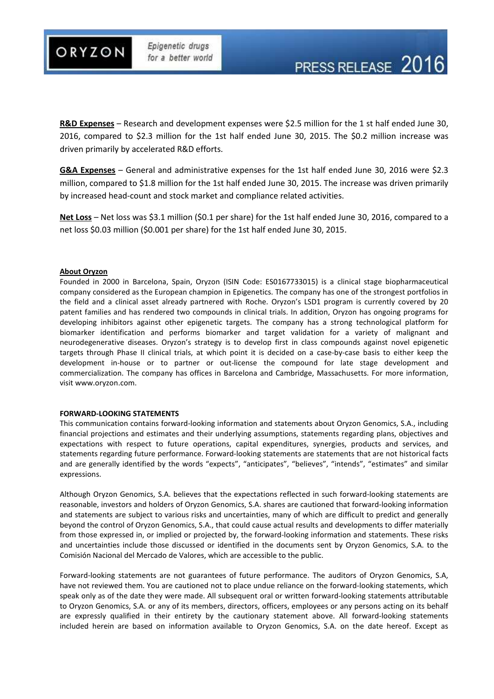

**R&D Expenses** – Research and development expenses were \$2.5 million for the 1 st half ended June 30, 2016, compared to \$2.3 million for the 1st half ended June 30, 2015. The \$0.2 million increase was driven primarily by accelerated R&D efforts.

**G&A Expenses** – General and administrative expenses for the 1st half ended June 30, 2016 were \$2.3 million, compared to \$1.8 million for the 1st half ended June 30, 2015. The increase was driven primarily by increased head-count and stock market and compliance related activities.

**Net Loss** – Net loss was \$3.1 million (\$0.1 per share) for the 1st half ended June 30, 2016, compared to a net loss \$0.03 million (\$0.001 per share) for the 1st half ended June 30, 2015.

#### **About Oryzon**

Founded in 2000 in Barcelona, Spain, Oryzon (ISIN Code: ES0167733015) is a clinical stage biopharmaceutical company considered as the European champion in Epigenetics. The company has one of the strongest portfolios in the field and a clinical asset already partnered with Roche. Oryzon's LSD1 program is currently covered by 20 patent families and has rendered two compounds in clinical trials. In addition, Oryzon has ongoing programs for developing inhibitors against other epigenetic targets. The company has a strong technological platform for biomarker identification and performs biomarker and target validation for a variety of malignant and neurodegenerative diseases. Oryzon's strategy is to develop first in class compounds against novel epigenetic targets through Phase II clinical trials, at which point it is decided on a case-by-case basis to either keep the development in-house or to partner or out-license the compound for late stage development and commercialization. The company has offices in Barcelona and Cambridge, Massachusetts. For more information, visit www.oryzon.com.

#### **FORWARD-LOOKING STATEMENTS**

This communication contains forward-looking information and statements about Oryzon Genomics, S.A., including financial projections and estimates and their underlying assumptions, statements regarding plans, objectives and expectations with respect to future operations, capital expenditures, synergies, products and services, and statements regarding future performance. Forward-looking statements are statements that are not historical facts and are generally identified by the words "expects", "anticipates", "believes", "intends", "estimates" and similar expressions.

Although Oryzon Genomics, S.A. believes that the expectations reflected in such forward-looking statements are reasonable, investors and holders of Oryzon Genomics, S.A. shares are cautioned that forward-looking information and statements are subject to various risks and uncertainties, many of which are difficult to predict and generally beyond the control of Oryzon Genomics, S.A., that could cause actual results and developments to differ materially from those expressed in, or implied or projected by, the forward-looking information and statements. These risks and uncertainties include those discussed or identified in the documents sent by Oryzon Genomics, S.A. to the Comisión Nacional del Mercado de Valores, which are accessible to the public.

Forward-looking statements are not guarantees of future performance. The auditors of Oryzon Genomics, S.A, have not reviewed them. You are cautioned not to place undue reliance on the forward-looking statements, which speak only as of the date they were made. All subsequent oral or written forward-looking statements attributable to Oryzon Genomics, S.A. or any of its members, directors, officers, employees or any persons acting on its behalf are expressly qualified in their entirety by the cautionary statement above. All forward-looking statements included herein are based on information available to Oryzon Genomics, S.A. on the date hereof. Except as